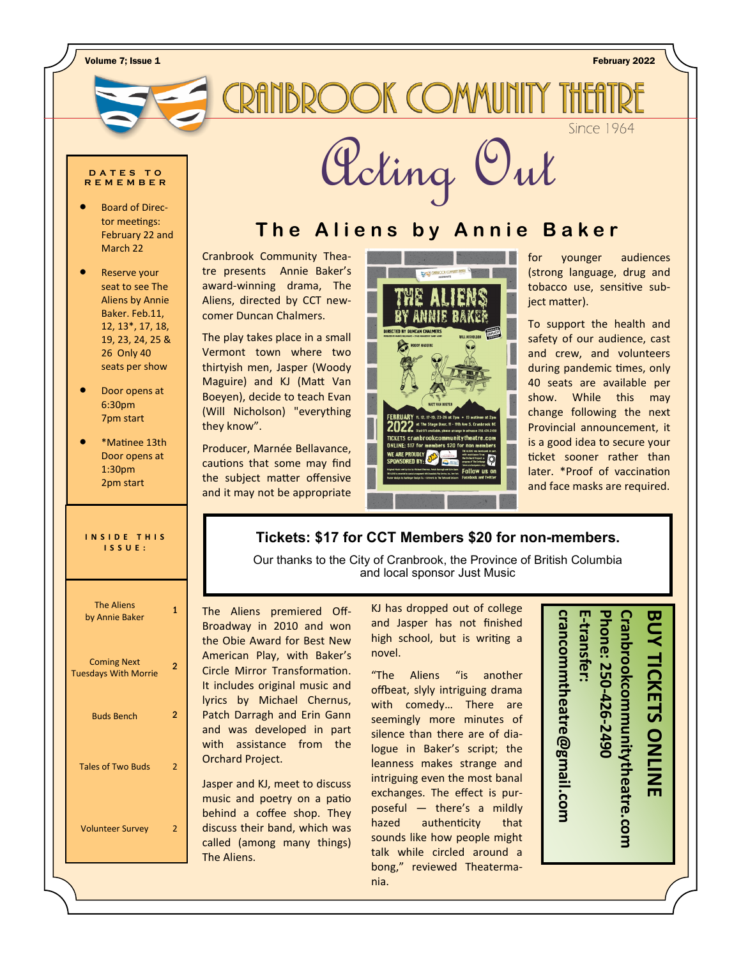Volume 7; Issue 1 February 2022

# **CRAINBROOK COMMUNITY TH**

**Since 1964** 

## **R E M E M B E R**

- Board of Director meetings: February 22 and March 22
- Reserve your seat to see The Aliens by Annie Baker. Feb.11, 12, 13\*, 17, 18, 19, 23, 24, 25 & 26 Only 40 seats per show
- Door opens at 6:30pm 7pm start
- \*Matinee 13th Door opens at 1:30pm 2pm start

| INSIDE THIS   |  |
|---------------|--|
| <b>ISSUE:</b> |  |
|               |  |

# The Aliens by Annie Baker 1 Coming Next Tuesdays With Morrie  $\overline{2}$ Buds Bench 2 Tales of Two Buds 2

Volunteer Survey 2

**OUTER PROPERTY OUTER DU PUBLIC DU PUBLIC DU PUBLIC DU PUBLIC DU PUBLIC DU PUBLIC DU PUBLIC DU PUBLIC DU PUBLIC DU PUBLIC DU PUBLIC DU PUBLIC DU PUBLIC DU PUBLIC DU PUBLIC DU PUBLIC DU PUBLIC DU PUBLIC DU PUBLIC DU PUBLIC** 

## **The Aliens by Annie Baker**

Cranbrook Community Theatre presents Annie Baker's award-winning drama, The Aliens, directed by CCT newcomer Duncan Chalmers.

The play takes place in a small Vermont town where two thirtyish men, Jasper (Woody Maguire) and KJ (Matt Van Boeyen), decide to teach Evan (Will Nicholson) "everything they know".

Producer, Marnée Bellavance, cautions that some may find the subject matter offensive and it may not be appropriate



for younger audiences (strong language, drug and tobacco use, sensitive subject matter).

To support the health and safety of our audience, cast and crew, and volunteers during pandemic times, only 40 seats are available per show. While this may change following the next Provincial announcement, it is a good idea to secure your ticket sooner rather than later. \*Proof of vaccination and face masks are required.

#### **Tickets: \$17 for CCT Members \$20 for non-members.**

Our thanks to the City of Cranbrook, the Province of British Columbia and local sponsor [Just Music](https://shoutout.wix.com/so/5fNwYz3xm/c?w=BC6FDQow88mydbjKJeGv1iuWbREkRKBVnnvF9Ku2mRA.eyJ1IjoiaHR0cHM6Ly93d3cuanVzdG11c2ljLmNhLyIsInIiOiJhOTZjYjVlNC04MDhiLTRmMWItNzU4ZC00YzNmZDc2M2IxNzkiLCJtIjoibWFpbCIsImMiOiJmYWIyMDZjZC0yNTk3LTQwZTAtYWY0OC0zZDRhNDJkODg5NjEif)

The Aliens premiered Off-Broadway in 2010 and won the Obie Award for Best New American Play, with Baker's Circle Mirror Transformation. It includes original music and lyrics by Michael Chernus, Patch Darragh and Erin Gann and was developed in part with assistance from the Orchard Project.

Jasper and KJ, meet to discuss music and poetry on a patio behind a coffee shop. They discuss their band, which was called (among many things) The Aliens.

KJ has dropped out of college and Jasper has not finished high school, but is writing a novel.

"The Aliens "is another offbeat, slyly intriguing drama with comedy… There are seemingly more minutes of silence than there are of dialogue in Baker's script; the leanness makes strange and intriguing even the most banal exchanges. The effect is purposeful — there's a mildly hazed authenticity that sounds like how people might talk while circled around a bong," reviewed Theatermania.